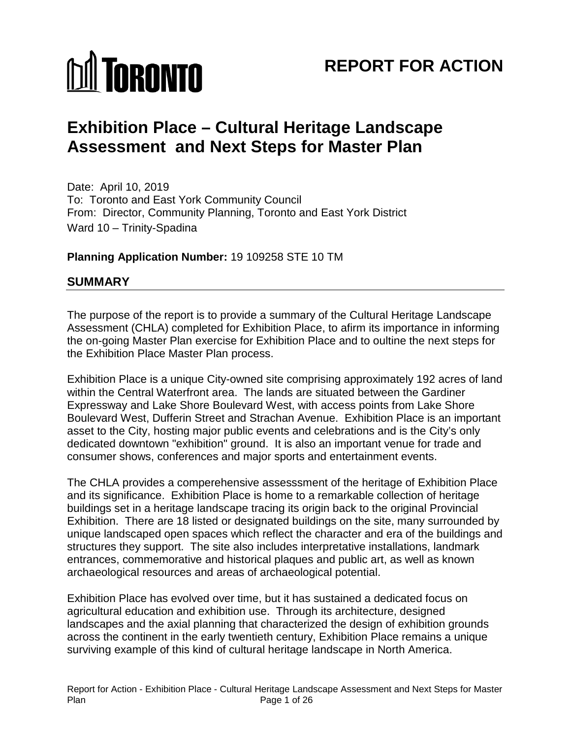

# **REPORT FOR ACTION**

# **Exhibition Place – Cultural Heritage Landscape Assessment and Next Steps for Master Plan**

 Date: April 10, 2019 To: Toronto and East York Community Council From: Director, Community Planning, Toronto and East York District Ward 10 – Trinity-Spadina

**Planning Application Number:** 19 109258 STE 10 TM

#### **SUMMARY**

 the on-going Master Plan exercise for Exhibition Place and to oultine the next steps for the Exhibition Place Master Plan process. The purpose of the report is to provide a summary of the Cultural Heritage Landscape Assessment (CHLA) completed for Exhibition Place, to afirm its importance in informing

 within the Central Waterfront area. The lands are situated between the Gardiner Boulevard West, Dufferin Street and Strachan Avenue. Exhibition Place is an important asset to the City, hosting major public events and celebrations and is the City's only dedicated downtown "exhibition" ground. It is also an important venue for trade and consumer shows, conferences and major sports and entertainment events. Exhibition Place is a unique City-owned site comprising approximately 192 acres of land Expressway and Lake Shore Boulevard West, with access points from Lake Shore

 Exhibition. There are 18 listed or designated buildings on the site, many surrounded by structures they support. The site also includes interpretative installations, landmark entrances, commemorative and historical plaques and public art, as well as known archaeological resources and areas of archaeological potential. The CHLA provides a comperehensive assesssment of the heritage of Exhibition Place and its significance. Exhibition Place is home to a remarkable collection of heritage buildings set in a heritage landscape tracing its origin back to the original Provincial unique landscaped open spaces which reflect the character and era of the buildings and

archaeological resources and areas of archaeological potential.<br>Exhibition Place has evolved over time, but it has sustained a dedicated focus on agricultural education and exhibition use. Through its architecture, designed landscapes and the axial planning that characterized the design of exhibition grounds across the continent in the early twentieth century, Exhibition Place remains a unique surviving example of this kind of cultural heritage landscape in North America.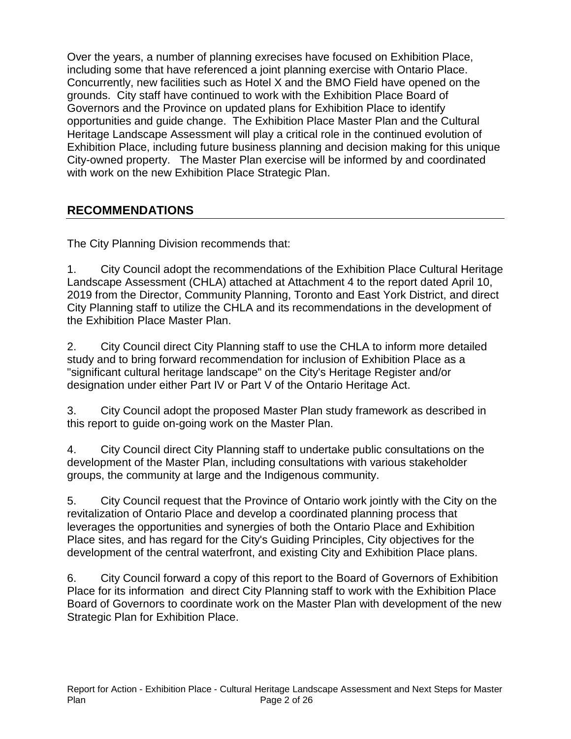Over the years, a number of planning exrecises have focused on Exhibition Place,<br>including some that have referenced a joint planning exercise with Ontario Place.<br>Concurrently, new facilities such as Hotel X and the BMO Fi including some that have referenced a joint planning exercise with Ontario Place. opportunities and guide change. The Exhibition Place Master Plan and the Cultural City-owned property. The Master Plan exercise will be informed by and coordinated grounds. City staff have continued to work with the Exhibition Place Board of Governors and the Province on updated plans for Exhibition Place to identify Heritage Landscape Assessment will play a critical role in the continued evolution of Exhibition Place, including future business planning and decision making for this unique with work on the new Exhibition Place Strategic Plan.

# **RECOMMENDATIONS**

The City Planning Division recommends that:

1. City Council adopt the recommendations of the Exhibition Place Cultural Heritage Landscape Assessment (CHLA) attached at Attachment 4 to the report dated April 10, 2019 from the Director, Community Planning, Toronto and East York District, and direct City Planning staff to utilize the CHLA and its recommendations in the development of the Exhibition Place Master Plan.

2. City Council direct City Planning staff to use the CHLA to inform more detailed study and to bring forward recommendation for inclusion of Exhibition Place as a "significant cultural heritage landscape" on the City's Heritage Register and/or designation under either Part IV or Part V of the Ontario Heritage Act.

3. City Council adopt the proposed Master Plan study framework as described in this report to guide on-going work on the Master Plan.

4. City Council direct City Planning staff to undertake public consultations on the development of the Master Plan, including consultations with various stakeholder groups, the community at large and the Indigenous community.

5. City Council request that the Province of Ontario work jointly with the City on the revitalization of Ontario Place and develop a coordinated planning process that leverages the opportunities and synergies of both the Ontario Place and Exhibition Place sites, and has regard for the City's Guiding Principles, City objectives for the development of the central waterfront, and existing City and Exhibition Place plans.

 Board of Governors to coordinate work on the Master Plan with development of the new 6. City Council forward a copy of this report to the Board of Governors of Exhibition Place for its information and direct City Planning staff to work with the Exhibition Place Strategic Plan for Exhibition Place.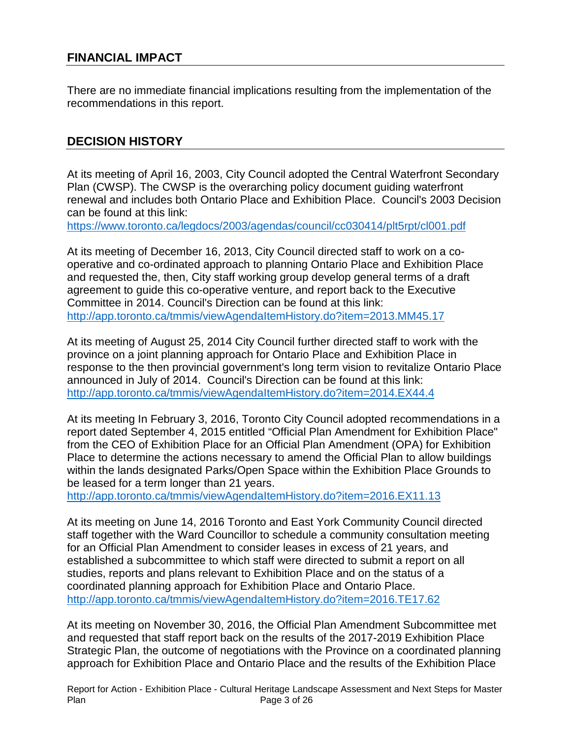# **FINANCIAL IMPACT**

There are no immediate financial implications resulting from the implementation of the recommendations in this report.

#### **DECISION HISTORY**

 Plan (CWSP). The CWSP is the overarching policy document guiding waterfront renewal and includes both Ontario Place and Exhibition Place. Council's 2003 Decision At its meeting of April 16, 2003, City Council adopted the Central Waterfront Secondary can be found at this link:

<https://www.toronto.ca/legdocs/2003/agendas/council/cc030414/plt5rpt/cl001.pdf>

 and requested the, then, City staff working group develop general terms of a draft Committee in 2014. Council's Direction can be found at this link: At its meeting of December 16, 2013, City Council directed staff to work on a cooperative and co-ordinated approach to planning Ontario Place and Exhibition Place agreement to guide this co-operative venture, and report back to the Executive <http://app.toronto.ca/tmmis/viewAgendaItemHistory.do?item=2013.MM45.17>

 announced in July of 2014. Council's Direction can be found at this link: At its meeting of August 25, 2014 City Council further directed staff to work with the province on a joint planning approach for Ontario Place and Exhibition Place in response to the then provincial government's long term vision to revitalize Ontario Place <http://app.toronto.ca/tmmis/viewAgendaItemHistory.do?item=2014.EX44.4>

 At its meeting In February 3, 2016, Toronto City Council adopted recommendations in a report dated September 4, 2015 entitled "Official Plan Amendment for Exhibition Place" from the CEO of Exhibition Place for an Official Plan Amendment (OPA) for Exhibition Place to determine the actions necessary to amend the Official Plan to allow buildings within the lands designated Parks/Open Space within the Exhibition Place Grounds to be leased for a term longer than 21 years.

http://app.toronto.ca/tmmis/viewAgendaItemHistory.do?item=2016.EX11.13

 At its meeting on June 14, 2016 Toronto and East York Community Council directed established a subcommittee to which staff were directed to submit a report on all studies, reports and plans relevant to Exhibition Place and on the status of a coordinated planning approach for Exhibition Place and Ontario Place. staff together with the Ward Councillor to schedule a community consultation meeting for an Official Plan Amendment to consider leases in excess of 21 years, and <http://app.toronto.ca/tmmis/viewAgendaItemHistory.do?item=2016.TE17.62>

 and requested that staff report back on the results of the 2017-2019 Exhibition Place At its meeting on November 30, 2016, the Official Plan Amendment Subcommittee met Strategic Plan, the outcome of negotiations with the Province on a coordinated planning approach for Exhibition Place and Ontario Place and the results of the Exhibition Place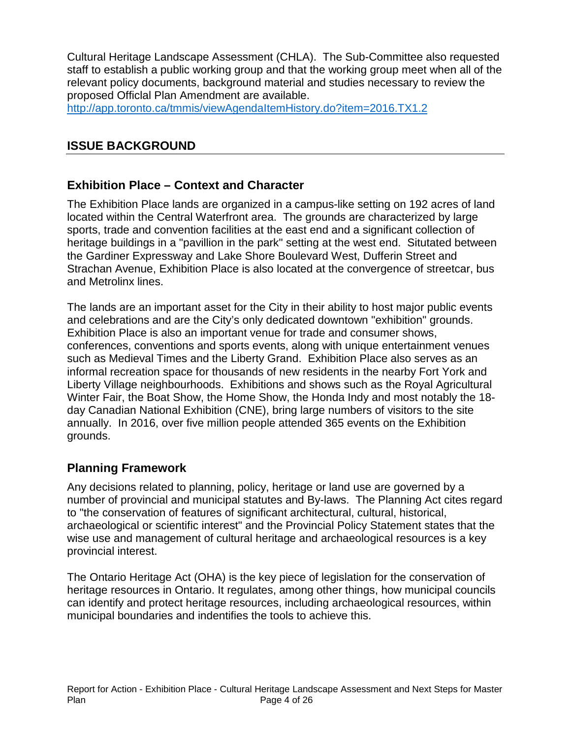Cultural Heritage Landscape Assessment (CHLA). The Sub-Committee also requested staff to establish a public working group and that the working group meet when all of the relevant policy documents, background material and studies necessary to review the proposed Officlal Plan Amendment are available.

<http://app.toronto.ca/tmmis/viewAgendaItemHistory.do?item=2016.TX1.2>

#### **ISSUE BACKGROUND**

## **Exhibition Place – Context and Character**

 located within the Central Waterfront area. The grounds are characterized by large sports, trade and convention facilities at the east end and a significant collection of heritage buildings in a "pavillion in the park" setting at the west end. Situtated between and Metrolinx lines. The Exhibition Place lands are organized in a campus-like setting on 192 acres of land the Gardiner Expressway and Lake Shore Boulevard West, Dufferin Street and Strachan Avenue, Exhibition Place is also located at the convergence of streetcar, bus

 and celebrations and are the City's only dedicated downtown "exhibition" grounds. Liberty Village neighbourhoods. Exhibitions and shows such as the Royal Agricultural grounds. The lands are an important asset for the City in their ability to host major public events Exhibition Place is also an important venue for trade and consumer shows, conferences, conventions and sports events, along with unique entertainment venues such as Medieval Times and the Liberty Grand. Exhibition Place also serves as an informal recreation space for thousands of new residents in the nearby Fort York and Winter Fair, the Boat Show, the Home Show, the Honda Indy and most notably the 18 day Canadian National Exhibition (CNE), bring large numbers of visitors to the site annually. In 2016, over five million people attended 365 events on the Exhibition

## **Planning Framework**

 number of provincial and municipal statutes and By-laws. The Planning Act cites regard wise use and management of cultural heritage and archaeological resources is a key Any decisions related to planning, policy, heritage or land use are governed by a to "the conservation of features of significant architectural, cultural, historical, archaeological or scientific interest" and the Provincial Policy Statement states that the provincial interest.

municipal boundaries and indentifies the tools to achieve this.<br>Report for Action - Exhibition Place - Cultural Heritage Landscape Assessment and Next Steps for Master municipal boundaries and indentifies the tools to achieve this. The Ontario Heritage Act (OHA) is the key piece of legislation for the conservation of heritage resources in Ontario. It regulates, among other things, how municipal councils can identify and protect heritage resources, including archaeological resources, within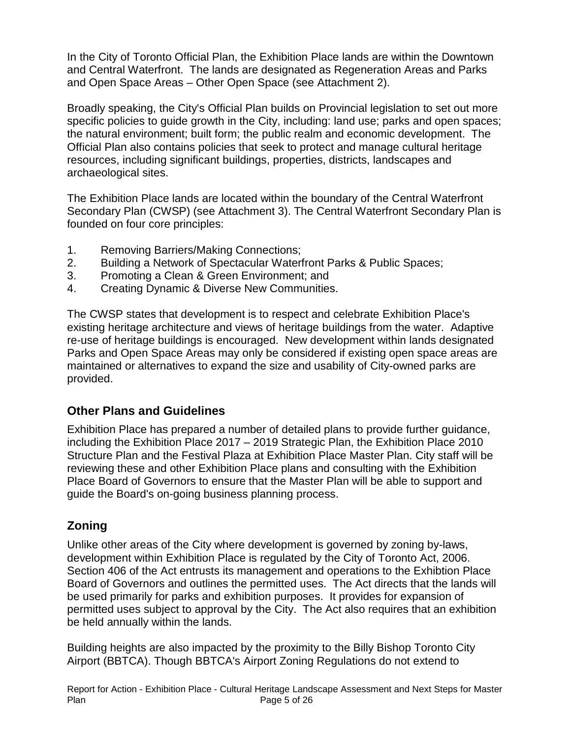In the City of Toronto Official Plan, the Exhibition Place lands are within the Downtown and Central Waterfront. The lands are designated as Regeneration Areas and Parks and Open Space Areas – Other Open Space (see Attachment 2).

 the natural environment; built form; the public realm and economic development. The resources, including significant buildings, properties, districts, landscapes and Broadly speaking, the City's Official Plan builds on Provincial legislation to set out more specific policies to guide growth in the City, including: land use; parks and open spaces; Official Plan also contains policies that seek to protect and manage cultural heritage archaeological sites.

 The Exhibition Place lands are located within the boundary of the Central Waterfront Secondary Plan (CWSP) (see Attachment 3). The Central Waterfront Secondary Plan is founded on four core principles:

- 1. Removing Barriers/Making Connections;
- 2. Building a Network of Spectacular Waterfront Parks & Public Spaces;
- 3. Promoting a Clean & Green Environment; and
- 4. Creating Dynamic & Diverse New Communities.

 provided. The CWSP states that development is to respect and celebrate Exhibition Place's existing heritage architecture and views of heritage buildings from the water. Adaptive re-use of heritage buildings is encouraged. New development within lands designated Parks and Open Space Areas may only be considered if existing open space areas are maintained or alternatives to expand the size and usability of City-owned parks are

## **Other Plans and Guidelines**

 Structure Plan and the Festival Plaza at Exhibition Place Master Plan. City staff will be Exhibition Place has prepared a number of detailed plans to provide further guidance, including the Exhibition Place 2017 – 2019 Strategic Plan, the Exhibition Place 2010 reviewing these and other Exhibition Place plans and consulting with the Exhibition Place Board of Governors to ensure that the Master Plan will be able to support and guide the Board's on-going business planning process.

# **Zoning**

 development within Exhibition Place is regulated by the City of Toronto Act, 2006. Board of Governors and outlines the permitted uses. The Act directs that the lands will be used primarily for parks and exhibition purposes. It provides for expansion of permitted uses subject to approval by the City. The Act also requires that an exhibition be held annually within the lands. Unlike other areas of the City where development is governed by zoning by-laws, Section 406 of the Act entrusts its management and operations to the Exhibtion Place

Building heights are also impacted by the proximity to the Billy Bishop Toronto City Airport (BBTCA). Though BBTCA's Airport Zoning Regulations do not extend to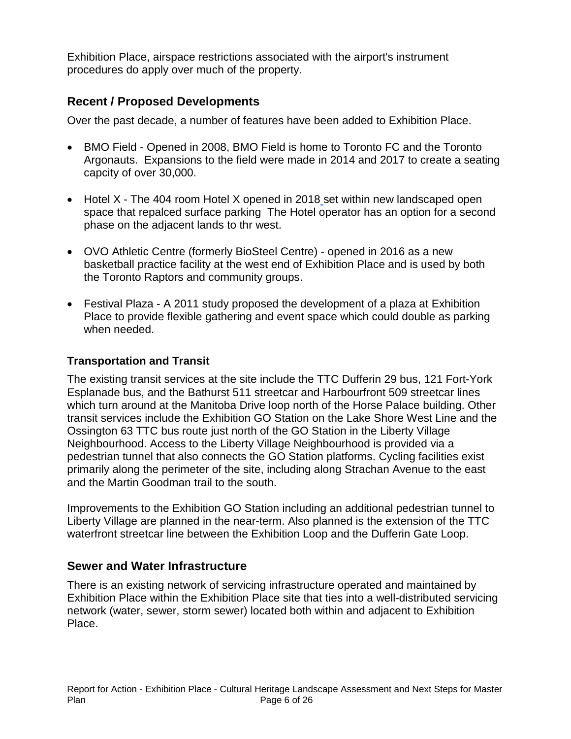Exhibition Place, airspace restrictions associated with the airport's instrument procedures do apply over much of the property.

# **Recent / Proposed Developments**

Over the past decade, a number of features have been added to Exhibition Place.

- [BMO Field -](https://bmofield.com/venue-info/bmo-field-expansion/) Opened in 2008, BMO Field is home to Toronto FC and the Toronto Argonauts. Expansions to the field were made in 2014 and 2017 to create a seating capcity of over 30,000.
- Hotel X The 404 room Hotel X opened in 2018 set within new landscaped open phase on the adjacent lands to thr west. space that repalced surface parking The Hotel operator has an option for a second
- OVO Athletic Centre (formerly BioSteel Centre) opened in 2016 as a new basketball practice facility at the west end of Exhibition Place and is used by both the Toronto Raptors and community groups.
- when needed. • Festival Plaza - A 2011 study proposed the development of a plaza at Exhibition Place to provide flexible gathering and event space which could double as parking

#### **Transportation and Transit**

 The existing transit services at the site include the TTC Dufferin 29 bus, 121 Fort-York transit services include the Exhibition GO Station on the Lake Shore West Line and the Esplanade bus, and the Bathurst 511 streetcar and Harbourfront 509 streetcar lines which turn around at the Manitoba Drive loop north of the Horse Palace building. Other Ossington 63 TTC bus route just north of the GO Station in the Liberty Village Neighbourhood. Access to the Liberty Village Neighbourhood is provided via a pedestrian tunnel that also connects the GO Station platforms. Cycling facilities exist primarily along the perimeter of the site, including along Strachan Avenue to the east and the Martin Goodman trail to the south.

Improvements to the Exhibition GO Station including an additional pedestrian tunnel to Liberty Village are planned in the near-term. Also planned is the extension of the TTC waterfront streetcar line between the Exhibition Loop and the Dufferin Gate Loop.

## **Sewer and Water Infrastructure**

There is an existing network of servicing infrastructure operated and maintained by Exhibition Place within the Exhibition Place site that ties into a well-distributed servicing network (water, sewer, storm sewer) located both within and adjacent to Exhibition Place.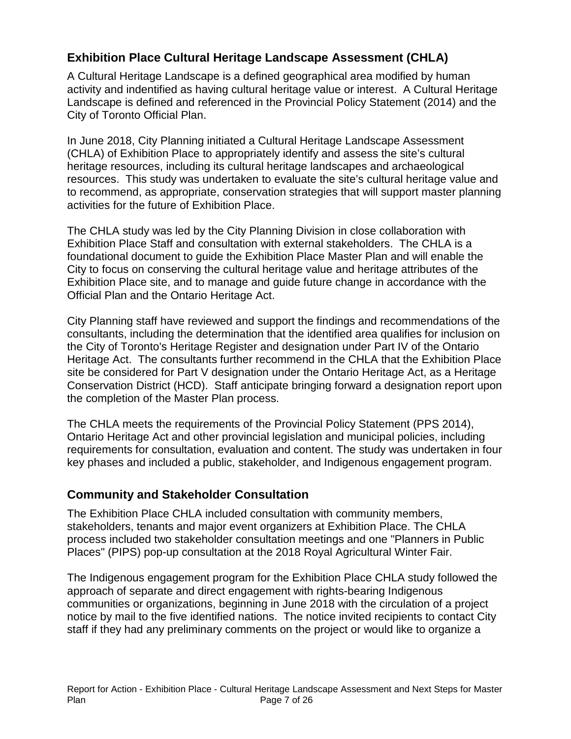# **Exhibition Place Cultural Heritage Landscape Assessment (CHLA)**

 activity and indentified as having cultural heritage value or interest. A Cultural Heritage A Cultural Heritage Landscape is a defined geographical area modified by human Landscape is defined and referenced in the Provincial Policy Statement (2014) and the City of Toronto Official Plan.

 (CHLA) of Exhibition Place to appropriately identify and assess the site's cultural to recommend, as appropriate, conservation strategies that will support master planning activities for the future of Exhibition Place. In June 2018, City Planning initiated a Cultural Heritage Landscape Assessment heritage resources, including its cultural heritage landscapes and archaeological resources. This study was undertaken to evaluate the site's cultural heritage value and

 Exhibition Place Staff and consultation with external stakeholders. The CHLA is a The CHLA study was led by the City Planning Division in close collaboration with foundational document to guide the Exhibition Place Master Plan and will enable the City to focus on conserving the cultural heritage value and heritage attributes of the Exhibition Place site, and to manage and guide future change in accordance with the Official Plan and the Ontario Heritage Act.

 Heritage Act. The consultants further recommend in the CHLA that the Exhibition Place site be considered for Part V designation under the Ontario Heritage Act, as a Heritage City Planning staff have reviewed and support the findings and recommendations of the consultants, including the determination that the identified area qualifies for inclusion on the City of Toronto's Heritage Register and designation under Part IV of the Ontario Conservation District (HCD). Staff anticipate bringing forward a designation report upon the completion of the Master Plan process.

 Ontario Heritage Act and other provincial legislation and municipal policies, including The CHLA meets the requirements of the Provincial Policy Statement (PPS 2014), requirements for consultation, evaluation and content. The study was undertaken in four key phases and included a public, stakeholder, and Indigenous engagement program.

#### **Community and Stakeholder Consultation**

 stakeholders, tenants and major event organizers at Exhibition Place. The CHLA The Exhibition Place CHLA included consultation with community members, process included two stakeholder consultation meetings and one "Planners in Public Places" (PIPS) pop-up consultation at the 2018 Royal Agricultural Winter Fair.

 The Indigenous engagement program for the Exhibition Place CHLA study followed the communities or organizations, beginning in June 2018 with the circulation of a project approach of separate and direct engagement with rights-bearing Indigenous notice by mail to the five identified nations. The notice invited recipients to contact City staff if they had any preliminary comments on the project or would like to organize a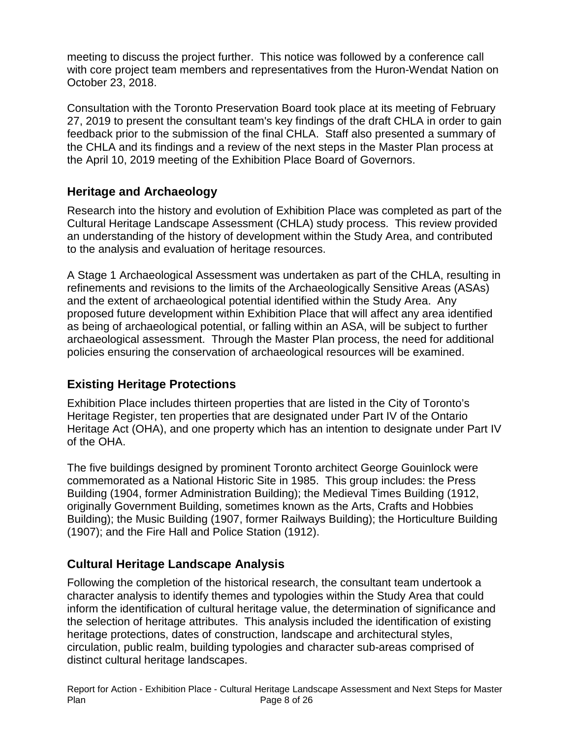meeting to discuss the project further. This notice was followed by a conference call with core project team members and representatives from the Huron-Wendat Nation on October 23, 2018.

 feedback prior to the submission of the final CHLA. Staff also presented a summary of the CHLA and its findings and a review of the next steps in the Master Plan process at Consultation with the Toronto Preservation Board took place at its meeting of February 27, 2019 to present the consultant team's key findings of the draft CHLA in order to gain the April 10, 2019 meeting of the Exhibition Place Board of Governors.

# **Heritage and Archaeology**

Research into the history and evolution of Exhibition Place was completed as part of the Cultural Heritage Landscape Assessment (CHLA) study process. This review provided an understanding of the history of development within the Study Area, and contributed to the analysis and evaluation of heritage resources.

 and the extent of archaeological potential identified within the Study Area. Any as being of archaeological potential, or falling within an ASA, will be subject to further archaeological assessment. Through the Master Plan process, the need for additional policies ensuring the conservation of archaeological resources will be examined. A Stage 1 Archaeological Assessment was undertaken as part of the CHLA, resulting in refinements and revisions to the limits of the Archaeologically Sensitive Areas (ASAs) proposed future development within Exhibition Place that will affect any area identified

# **Existing Heritage Protections**

 Exhibition Place includes thirteen properties that are listed in the City of Toronto's Heritage Register, ten properties that are designated under Part IV of the Ontario Heritage Act (OHA), and one property which has an intention to designate under Part IV of the OHA.

 commemorated as a National Historic Site in 1985. This group includes: the Press Building (1904, former Administration Building); the Medieval Times Building (1912, The five buildings designed by prominent Toronto architect George Gouinlock were originally Government Building, sometimes known as the Arts, Crafts and Hobbies Building); the Music Building (1907, former Railways Building); the Horticulture Building (1907); and the Fire Hall and Police Station (1912).

# **Cultural Heritage Landscape Analysis**

Following the completion of the historical research, the consultant team undertook a character analysis to identify themes and typologies within the Study Area that could inform the identification of cultural heritage value, the determination of significance and the selection of heritage attributes. This analysis included the identification of existing heritage protections, dates of construction, landscape and architectural styles, circulation, public realm, building typologies and character sub-areas comprised of distinct cultural heritage landscapes.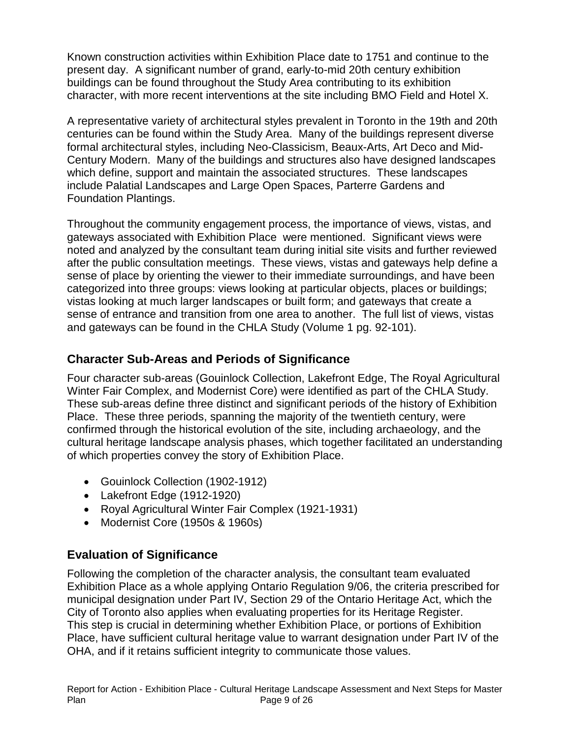present day. A significant number of grand, early-to-mid 20th century exhibition Known construction activities within Exhibition Place date to 1751 and continue to the buildings can be found throughout the Study Area contributing to its exhibition character, with more recent interventions at the site including BMO Field and Hotel X.

 which define, support and maintain the associated structures. These landscapes A representative variety of architectural styles prevalent in Toronto in the 19th and 20th centuries can be found within the Study Area. Many of the buildings represent diverse formal architectural styles, including Neo-Classicism, Beaux-Arts, Art Deco and Mid-Century Modern. Many of the buildings and structures also have designed landscapes include Palatial Landscapes and Large Open Spaces, Parterre Gardens and Foundation Plantings.

 Throughout the community engagement process, the importance of views, vistas, and gateways associated with Exhibition Place were mentioned. Significant views were after the public consultation meetings. These views, vistas and gateways help define a categorized into three groups: views looking at particular objects, places or buildings; sense of entrance and transition from one area to another. The full list of views, vistas noted and analyzed by the consultant team during initial site visits and further reviewed sense of place by orienting the viewer to their immediate surroundings, and have been vistas looking at much larger landscapes or built form; and gateways that create a and gateways can be found in the CHLA Study (Volume 1 pg. 92-101).

# **Character Sub-Areas and Periods of Significance**

 Winter Fair Complex, and Modernist Core) were identified as part of the CHLA Study. These sub-areas define three distinct and significant periods of the history of Exhibition Place. These three periods, spanning the majority of the twentieth century, were Four character sub-areas (Gouinlock Collection, Lakefront Edge, The Royal Agricultural confirmed through the historical evolution of the site, including archaeology, and the cultural heritage landscape analysis phases, which together facilitated an understanding of which properties convey the story of Exhibition Place.

- Gouinlock Collection (1902-1912)
- Lakefront Edge (1912-1920)
- Royal Agricultural Winter Fair Complex (1921-1931)
- Modernist Core (1950s & 1960s)

# **Evaluation of Significance**

 City of Toronto also applies when evaluating properties for its Heritage Register. This step is crucial in determining whether Exhibition Place, or portions of Exhibition Following the completion of the character analysis, the consultant team evaluated Exhibition Place as a whole applying Ontario Regulation 9/06, the criteria prescribed for municipal designation under Part IV, Section 29 of the Ontario Heritage Act, which the Place, have sufficient cultural heritage value to warrant designation under Part IV of the OHA, and if it retains sufficient integrity to communicate those values.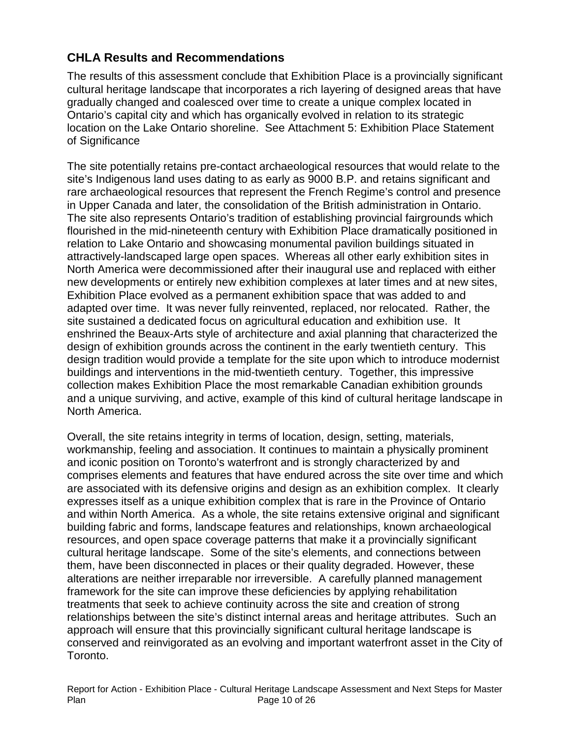# **CHLA Results and Recommendations**

The results of this assessment conclude that Exhibition Place is a provincially significant cultural heritage landscape that incorporates a rich layering of designed areas that have gradually changed and coalesced over time to create a unique complex located in Ontario's capital city and which has organically evolved in relation to its strategic location on the Lake Ontario shoreline. See Attachment 5: Exhibition Place Statement of Significance

in Upper Canada and later, the consolidation of the British administration in Ontario. site sustained a dedicated focus on agricultural education and exhibition use. It The site potentially retains pre-contact archaeological resources that would relate to the site's Indigenous land uses dating to as early as 9000 B.P. and retains significant and rare archaeological resources that represent the French Regime's control and presence The site also represents Ontario's tradition of establishing provincial fairgrounds which flourished in the mid-nineteenth century with Exhibition Place dramatically positioned in relation to Lake Ontario and showcasing monumental pavilion buildings situated in attractively-landscaped large open spaces. Whereas all other early exhibition sites in North America were decommissioned after their inaugural use and replaced with either new developments or entirely new exhibition complexes at later times and at new sites, Exhibition Place evolved as a permanent exhibition space that was added to and adapted over time. It was never fully reinvented, replaced, nor relocated. Rather, the enshrined the Beaux-Arts style of architecture and axial planning that characterized the design of exhibition grounds across the continent in the early twentieth century. This design tradition would provide a template for the site upon which to introduce modernist buildings and interventions in the mid-twentieth century. Together, this impressive collection makes Exhibition Place the most remarkable Canadian exhibition grounds and a unique surviving, and active, example of this kind of cultural heritage landscape in North America.

 Overall, the site retains integrity in terms of location, design, setting, materials, are associated with its defensive origins and design as an exhibition complex. It clearly building fabric and forms, landscape features and relationships, known archaeological framework for the site can improve these deficiencies by applying rehabilitation conserved and reinvigorated as an evolving and important waterfront asset in the City of workmanship, feeling and association. It continues to maintain a physically prominent and iconic position on Toronto's waterfront and is strongly characterized by and comprises elements and features that have endured across the site over time and which expresses itself as a unique exhibition complex that is rare in the Province of Ontario and within North America. As a whole, the site retains extensive original and significant resources, and open space coverage patterns that make it a provincially significant cultural heritage landscape. Some of the site's elements, and connections between them, have been disconnected in places or their quality degraded. However, these alterations are neither irreparable nor irreversible. A carefully planned management treatments that seek to achieve continuity across the site and creation of strong relationships between the site's distinct internal areas and heritage attributes. Such an approach will ensure that this provincially significant cultural heritage landscape is Toronto.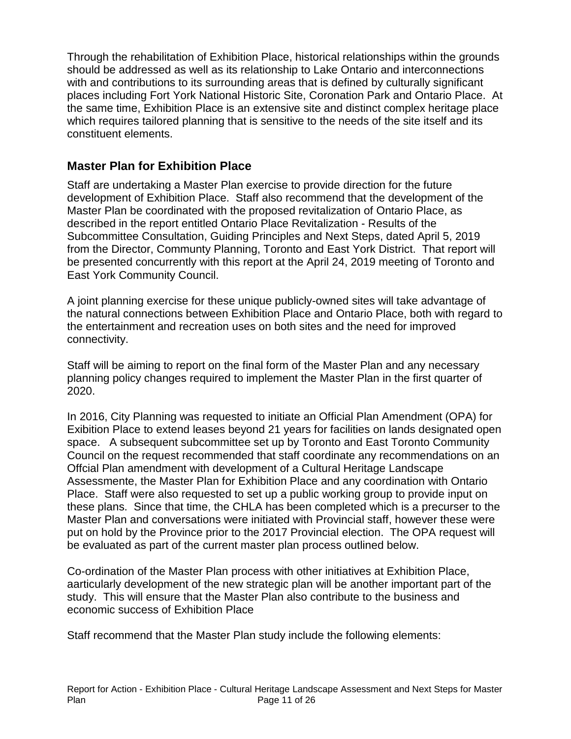places including Fort York National Historic Site, Coronation Park and Ontario Place. At Through the rehabilitation of Exhibition Place, historical relationships within the grounds should be addressed as well as its relationship to Lake Ontario and interconnections with and contributions to its surrounding areas that is defined by culturally significant the same time, Exhibition Place is an extensive site and distinct complex heritage place which requires tailored planning that is sensitive to the needs of the site itself and its constituent elements.

## **Master Plan for Exhibition Place**

 development of Exhibition Place. Staff also recommend that the development of the Master Plan be coordinated with the proposed revitalization of Ontario Place, as described in the report entitled Ontario Place Revitalization - Results of the from the Director, Communty Planning, Toronto and East York District. That report will Staff are undertaking a Master Plan exercise to provide direction for the future Subcommittee Consultation, Guiding Principles and Next Steps, dated April 5, 2019 be presented concurrently with this report at the April 24, 2019 meeting of Toronto and East York Community Council.

A joint planning exercise for these unique publicly-owned sites will take advantage of the natural connections between Exhibition Place and Ontario Place, both with regard to the entertainment and recreation uses on both sites and the need for improved connectivity.

 Staff will be aiming to report on the final form of the Master Plan and any necessary planning policy changes required to implement the Master Plan in the first quarter of 2020.

 In 2016, City Planning was requested to initiate an Official Plan Amendment (OPA) for Exibition Place to extend leases beyond 21 years for facilities on lands designated open space. A subsequent subcommittee set up by Toronto and East Toronto Community Place. Staff were also requested to set up a public working group to provide input on put on hold by the Province prior to the 2017 Provincial election. The OPA request will Council on the request recommended that staff coordinate any recommendations on an Offcial Plan amendment with development of a Cultural Heritage Landscape Assessmente, the Master Plan for Exhibition Place and any coordination with Ontario these plans. Since that time, the CHLA has been completed which is a precurser to the Master Plan and conversations were initiated with Provincial staff, however these were be evaluated as part of the current master plan process outlined below.

 study. This will ensure that the Master Plan also contribute to the business and Co-ordination of the Master Plan process with other initiatives at Exhibition Place, aarticularly development of the new strategic plan will be another important part of the economic success of Exhibition Place

Staff recommend that the Master Plan study include the following elements: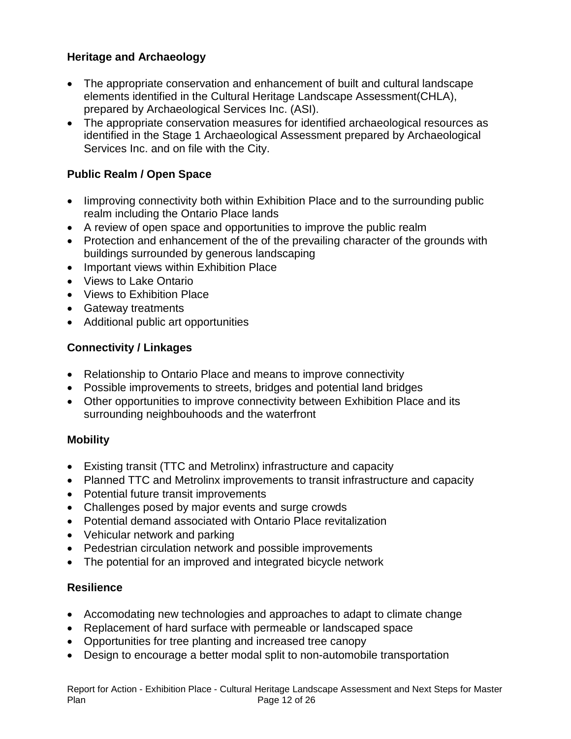#### **Heritage and Archaeology**

- The appropriate conservation and enhancement of built and cultural landscape elements identified in the Cultural Heritage Landscape Assessment(CHLA), prepared by Archaeological Services Inc. (ASI).
- The appropriate conservation measures for identified archaeological resources as identified in the Stage 1 Archaeological Assessment prepared by Archaeological Services Inc. and on file with the City.

#### **Public Realm / Open Space**

- limproving connectivity both within Exhibition Place and to the surrounding public realm including the Ontario Place lands
- A review of open space and opportunities to improve the public realm
- Protection and enhancement of the of the prevailing character of the grounds with buildings surrounded by generous landscaping
- Important views within Exhibition Place
- Views to Lake Ontario
- Views to Exhibition Place
- Gateway treatments
- • Additional public art opportunities

## **Connectivity / Linkages**

- Relationship to Ontario Place and means to improve connectivity
- Possible improvements to streets, bridges and potential land bridges
- Other opportunities to improve connectivity between Exhibition Place and its surrounding neighbouhoods and the waterfront

#### **Mobility**

- Existing transit (TTC and Metrolinx) infrastructure and capacity
- Planned TTC and Metrolinx improvements to transit infrastructure and capacity
- Potential future transit improvements
- Challenges posed by major events and surge crowds
- Potential demand associated with Ontario Place revitalization
- Vehicular network and parking
- Pedestrian circulation network and possible improvements
- The potential for an improved and integrated bicycle network

## **Resilience**

- Accomodating new technologies and approaches to adapt to climate change
- Replacement of hard surface with permeable or landscaped space
- • Opportunities for tree planting and increased tree canopy
- Design to encourage a better modal split to non-automobile transportation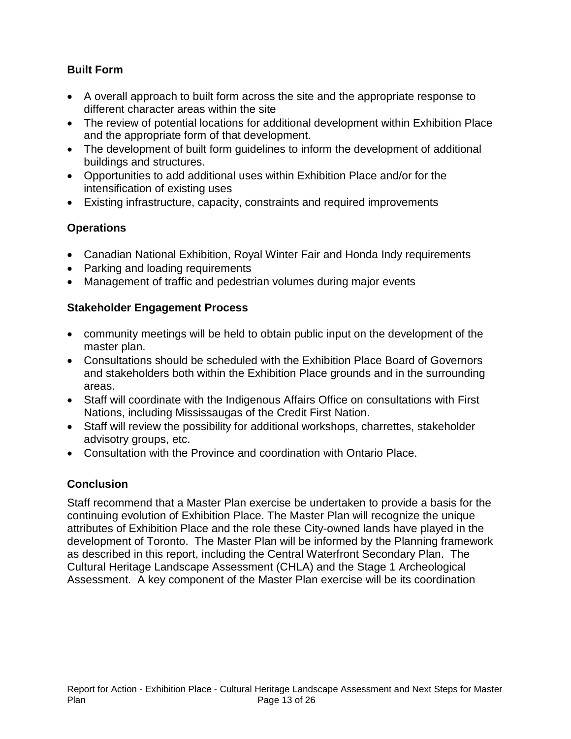## **Built Form**

- A overall approach to built form across the site and the appropriate response to different character areas within the site
- and the appropriate form of that development. • The review of potential locations for additional development within Exhibition Place
- The development of built form guidelines to inform the development of additional buildings and structures.
- Opportunities to add additional uses within Exhibition Place and/or for the intensification of existing uses
- Existing infrastructure, capacity, constraints and required improvements

## **Operations**

- Canadian National Exhibition, Royal Winter Fair and Honda Indy requirements
- • Parking and loading requirements
- Management of traffic and pedestrian volumes during major events

## **Stakeholder Engagement Process**

- master plan. • community meetings will be held to obtain public input on the development of the
- Consultations should be scheduled with the Exhibition Place Board of Governors and stakeholders both within the Exhibition Place grounds and in the surrounding areas.
- Nations, including Mississaugas of the Credit First Nation. • Staff will coordinate with the Indigenous Affairs Office on consultations with First
- Staff will review the possibility for additional workshops, charrettes, stakeholder advisotry groups, etc.
- Consultation with the Province and coordination with Ontario Place.

## **Conclusion**

 development of Toronto. The Master Plan will be informed by the Planning framework as described in this report, including the Central Waterfront Secondary Plan. The Assessment. A key component of the Master Plan exercise will be its coordination Staff recommend that a Master Plan exercise be undertaken to provide a basis for the continuing evolution of Exhibition Place. The Master Plan will recognize the unique attributes of Exhibition Place and the role these City-owned lands have played in the Cultural Heritage Landscape Assessment (CHLA) and the Stage 1 Archeological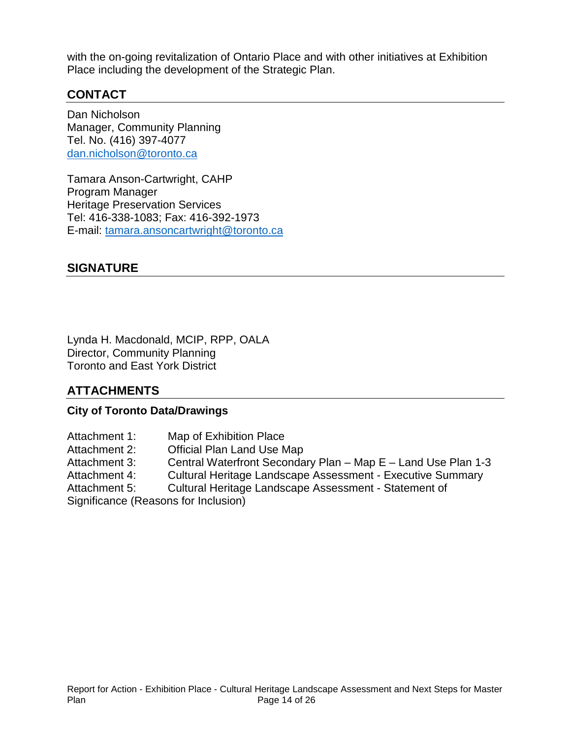Place including the development of the Strategic Plan. with the on-going revitalization of Ontario Place and with other initiatives at Exhibition

#### **CONTACT**

Dan Nicholson Manager, Community Planning Tel. No. (416) 397-4077 [dan.nicholson@toronto.ca](mailto:dan.nicholson@toronto.ca) 

Tamara Anson-Cartwright, CAHP Program Manager Heritage Preservation Services Tel: 416-338-1083; Fax: 416-392-1973 E-mail: [tamara.ansoncartwright@toronto.ca](mailto:tamara.ansoncartwright@toronto.ca) 

#### **SIGNATURE**

Lynda H. Macdonald, MCIP, RPP, OALA Director, Community Planning Toronto and East York District

## **ATTACHMENTS**

#### **City of Toronto Data/Drawings**

 Attachment 3: Central Waterfront Secondary Plan – Map E – Land Use Plan 1-3 Attachment 1: Map of Exhibition Place Attachment 2: Official Plan Land Use Map Attachment 4: Cultural Heritage Landscape Assessment - Executive Summary Attachment 5: Cultural Heritage Landscape Assessment - Statement of Significance (Reasons for Inclusion)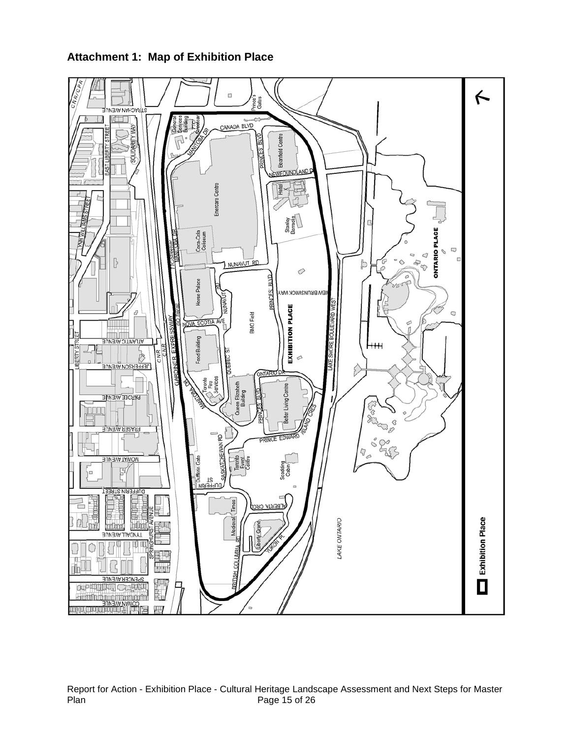#### **Attachment 1: Map of Exhibition Place**

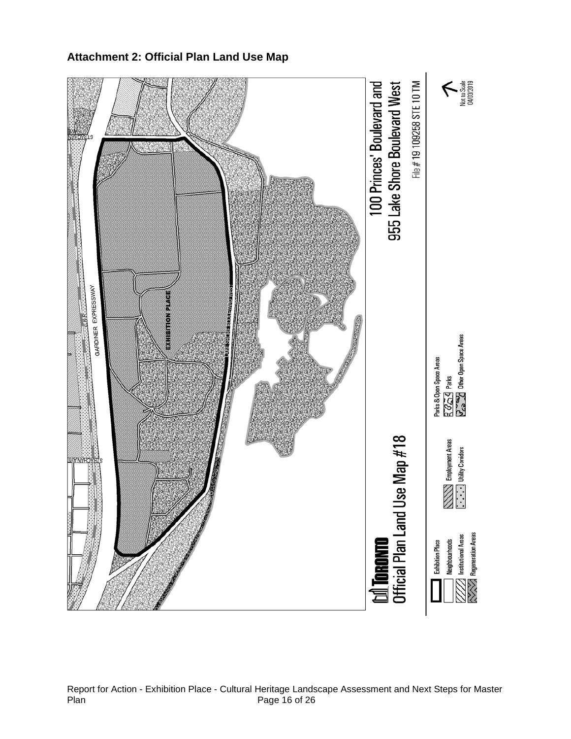

#### **Attachment 2: Official Plan Land Use Map**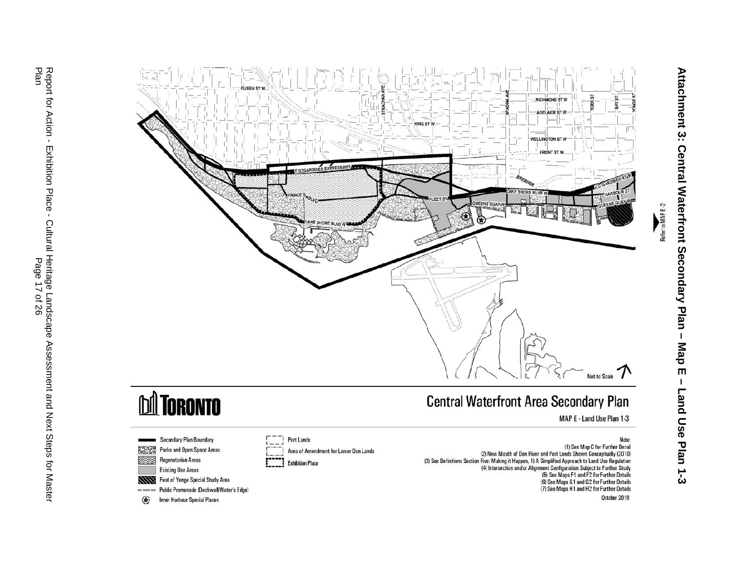

 $\overline{a}$ Report for Action - Exhibition Place - Cultural Heritage Landscape Assessment and Next Steps for Master

Plan Page 17 of 26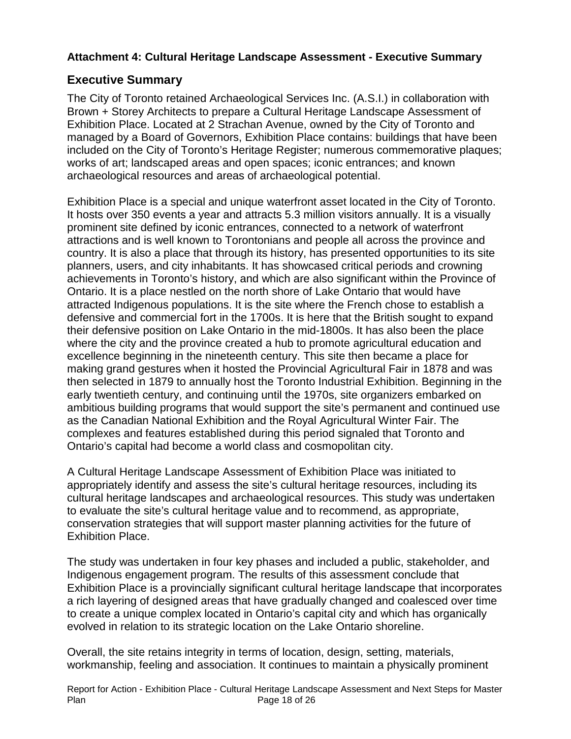#### **Attachment 4: Cultural Heritage Landscape Assessment - Executive Summary**

# **Executive Summary**

 Brown + Storey Architects to prepare a Cultural Heritage Landscape Assessment of works of art; landscaped areas and open spaces; iconic entrances; and known The City of Toronto retained Archaeological Services Inc. (A.S.I.) in collaboration with Exhibition Place. Located at 2 Strachan Avenue, owned by the City of Toronto and managed by a Board of Governors, Exhibition Place contains: buildings that have been included on the City of Toronto's Heritage Register; numerous commemorative plaques; archaeological resources and areas of archaeological potential.

 Exhibition Place is a special and unique waterfront asset located in the City of Toronto. their defensive position on Lake Ontario in the mid-1800s. It has also been the place then selected in 1879 to annually host the Toronto Industrial Exhibition. Beginning in the It hosts over 350 events a year and attracts 5.3 million visitors annually. It is a visually prominent site defined by iconic entrances, connected to a network of waterfront attractions and is well known to Torontonians and people all across the province and country. It is also a place that through its history, has presented opportunities to its site planners, users, and city inhabitants. It has showcased critical periods and crowning achievements in Toronto's history, and which are also significant within the Province of Ontario. It is a place nestled on the north shore of Lake Ontario that would have attracted Indigenous populations. It is the site where the French chose to establish a defensive and commercial fort in the 1700s. It is here that the British sought to expand where the city and the province created a hub to promote agricultural education and excellence beginning in the nineteenth century. This site then became a place for making grand gestures when it hosted the Provincial Agricultural Fair in 1878 and was early twentieth century, and continuing until the 1970s, site organizers embarked on ambitious building programs that would support the site's permanent and continued use as the Canadian National Exhibition and the Royal Agricultural Winter Fair. The complexes and features established during this period signaled that Toronto and Ontario's capital had become a world class and cosmopolitan city.

 cultural heritage landscapes and archaeological resources. This study was undertaken A Cultural Heritage Landscape Assessment of Exhibition Place was initiated to appropriately identify and assess the site's cultural heritage resources, including its to evaluate the site's cultural heritage value and to recommend, as appropriate, conservation strategies that will support master planning activities for the future of Exhibition Place.

 to create a unique complex located in Ontario's capital city and which has organically The study was undertaken in four key phases and included a public, stakeholder, and Indigenous engagement program. The results of this assessment conclude that Exhibition Place is a provincially significant cultural heritage landscape that incorporates a rich layering of designed areas that have gradually changed and coalesced over time evolved in relation to its strategic location on the Lake Ontario shoreline.

 Overall, the site retains integrity in terms of location, design, setting, materials, workmanship, feeling and association. It continues to maintain a physically prominent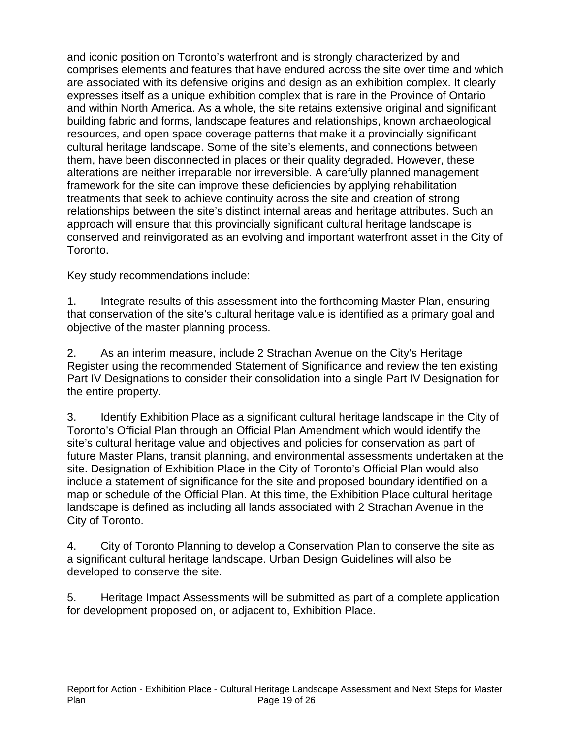building fabric and forms, landscape features and relationships, known archaeological framework for the site can improve these deficiencies by applying rehabilitation and iconic position on Toronto's waterfront and is strongly characterized by and comprises elements and features that have endured across the site over time and which are associated with its defensive origins and design as an exhibition complex. It clearly expresses itself as a unique exhibition complex that is rare in the Province of Ontario and within North America. As a whole, the site retains extensive original and significant resources, and open space coverage patterns that make it a provincially significant cultural heritage landscape. Some of the site's elements, and connections between them, have been disconnected in places or their quality degraded. However, these alterations are neither irreparable nor irreversible. A carefully planned management treatments that seek to achieve continuity across the site and creation of strong relationships between the site's distinct internal areas and heritage attributes. Such an approach will ensure that this provincially significant cultural heritage landscape is conserved and reinvigorated as an evolving and important waterfront asset in the City of Toronto.

Key study recommendations include:

1. Integrate results of this assessment into the forthcoming Master Plan, ensuring that conservation of the site's cultural heritage value is identified as a primary goal and objective of the master planning process.

2. As an interim measure, include 2 Strachan Avenue on the City's Heritage Register using the recommended Statement of Significance and review the ten existing Part IV Designations to consider their consolidation into a single Part IV Designation for the entire property.

 future Master Plans, transit planning, and environmental assessments undertaken at the site. Designation of Exhibition Place in the City of Toronto's Official Plan would also City of Toronto. 3. Identify Exhibition Place as a significant cultural heritage landscape in the City of Toronto's Official Plan through an Official Plan Amendment which would identify the site's cultural heritage value and objectives and policies for conservation as part of include a statement of significance for the site and proposed boundary identified on a map or schedule of the Official Plan. At this time, the Exhibition Place cultural heritage landscape is defined as including all lands associated with 2 Strachan Avenue in the

4. City of Toronto Planning to develop a Conservation Plan to conserve the site as a significant cultural heritage landscape. Urban Design Guidelines will also be developed to conserve the site.

 5. Heritage Impact Assessments will be submitted as part of a complete application for development proposed on, or adjacent to, Exhibition Place.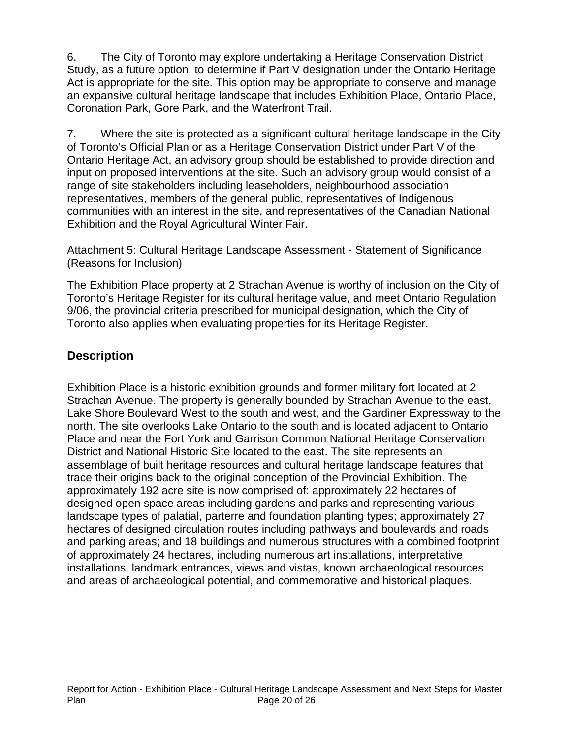an expansive cultural heritage landscape that includes Exhibition Place, Ontario Place, Coronation Park, Gore Park, and the Waterfront Trail. 6. The City of Toronto may explore undertaking a Heritage Conservation District Study, as a future option, to determine if Part V designation under the Ontario Heritage Act is appropriate for the site. This option may be appropriate to conserve and manage

 of Toronto's Official Plan or as a Heritage Conservation District under Part V of the 7. Where the site is protected as a significant cultural heritage landscape in the City Ontario Heritage Act, an advisory group should be established to provide direction and input on proposed interventions at the site. Such an advisory group would consist of a range of site stakeholders including leaseholders, neighbourhood association representatives, members of the general public, representatives of Indigenous communities with an interest in the site, and representatives of the Canadian National Exhibition and the Royal Agricultural Winter Fair.

Attachment 5: Cultural Heritage Landscape Assessment - Statement of Significance (Reasons for Inclusion)

The Exhibition Place property at 2 Strachan Avenue is worthy of inclusion on the City of Toronto's Heritage Register for its cultural heritage value, and meet Ontario Regulation 9/06, the provincial criteria prescribed for municipal designation, which the City of Toronto also applies when evaluating properties for its Heritage Register.

## **Description**

 landscape types of palatial, parterre and foundation planting types; approximately 27 and areas of archaeological potential, and commemorative and historical plaques. Exhibition Place is a historic exhibition grounds and former military fort located at 2 Strachan Avenue. The property is generally bounded by Strachan Avenue to the east, Lake Shore Boulevard West to the south and west, and the Gardiner Expressway to the north. The site overlooks Lake Ontario to the south and is located adjacent to Ontario Place and near the Fort York and Garrison Common National Heritage Conservation District and National Historic Site located to the east. The site represents an assemblage of built heritage resources and cultural heritage landscape features that trace their origins back to the original conception of the Provincial Exhibition. The approximately 192 acre site is now comprised of: approximately 22 hectares of designed open space areas including gardens and parks and representing various hectares of designed circulation routes including pathways and boulevards and roads and parking areas; and 18 buildings and numerous structures with a combined footprint of approximately 24 hectares, including numerous art installations, interpretative installations, landmark entrances, views and vistas, known archaeological resources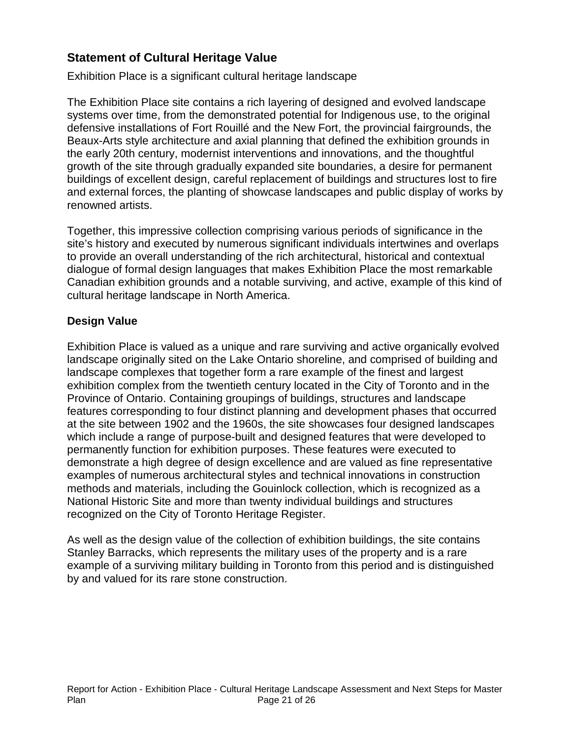# **Statement of Cultural Heritage Value**

Exhibition Place is a significant cultural heritage landscape

The Exhibition Place site contains a rich layering of designed and evolved landscape systems over time, from the demonstrated potential for Indigenous use, to the original defensive installations of Fort Rouillé and the New Fort, the provincial fairgrounds, the Beaux-Arts style architecture and axial planning that defined the exhibition grounds in the early 20th century, modernist interventions and innovations, and the thoughtful growth of the site through gradually expanded site boundaries, a desire for permanent buildings of excellent design, careful replacement of buildings and structures lost to fire and external forces, the planting of showcase landscapes and public display of works by renowned artists.

 dialogue of formal design languages that makes Exhibition Place the most remarkable Together, this impressive collection comprising various periods of significance in the site's history and executed by numerous significant individuals intertwines and overlaps to provide an overall understanding of the rich architectural, historical and contextual Canadian exhibition grounds and a notable surviving, and active, example of this kind of cultural heritage landscape in North America.

#### **Design Value**

 at the site between 1902 and the 1960s, the site showcases four designed landscapes Exhibition Place is valued as a unique and rare surviving and active organically evolved landscape originally sited on the Lake Ontario shoreline, and comprised of building and landscape complexes that together form a rare example of the finest and largest exhibition complex from the twentieth century located in the City of Toronto and in the Province of Ontario. Containing groupings of buildings, structures and landscape features corresponding to four distinct planning and development phases that occurred which include a range of purpose-built and designed features that were developed to permanently function for exhibition purposes. These features were executed to demonstrate a high degree of design excellence and are valued as fine representative examples of numerous architectural styles and technical innovations in construction methods and materials, including the Gouinlock collection, which is recognized as a National Historic Site and more than twenty individual buildings and structures recognized on the City of Toronto Heritage Register.

 Stanley Barracks, which represents the military uses of the property and is a rare example of a surviving military building in Toronto from this period and is distinguished As well as the design value of the collection of exhibition buildings, the site contains by and valued for its rare stone construction.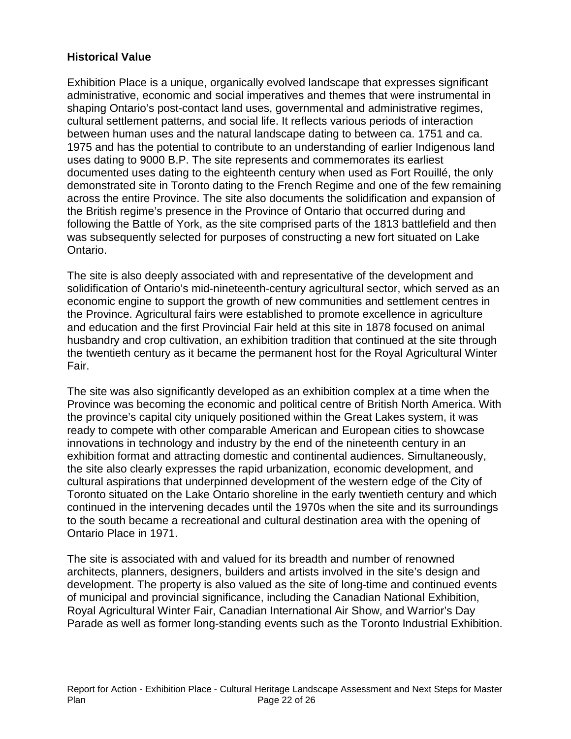#### **Historical Value**

 cultural settlement patterns, and social life. It reflects various periods of interaction Exhibition Place is a unique, organically evolved landscape that expresses significant administrative, economic and social imperatives and themes that were instrumental in shaping Ontario's post-contact land uses, governmental and administrative regimes, between human uses and the natural landscape dating to between ca. 1751 and ca. 1975 and has the potential to contribute to an understanding of earlier Indigenous land uses dating to 9000 B.P. The site represents and commemorates its earliest documented uses dating to the eighteenth century when used as Fort Rouillé, the only demonstrated site in Toronto dating to the French Regime and one of the few remaining across the entire Province. The site also documents the solidification and expansion of the British regime's presence in the Province of Ontario that occurred during and following the Battle of York, as the site comprised parts of the 1813 battlefield and then was subsequently selected for purposes of constructing a new fort situated on Lake Ontario.

 the twentieth century as it became the permanent host for the Royal Agricultural Winter The site is also deeply associated with and representative of the development and solidification of Ontario's mid-nineteenth-century agricultural sector, which served as an economic engine to support the growth of new communities and settlement centres in the Province. Agricultural fairs were established to promote excellence in agriculture and education and the first Provincial Fair held at this site in 1878 focused on animal husbandry and crop cultivation, an exhibition tradition that continued at the site through Fair.

 Province was becoming the economic and political centre of British North America. With exhibition format and attracting domestic and continental audiences. Simultaneously, The site was also significantly developed as an exhibition complex at a time when the the province's capital city uniquely positioned within the Great Lakes system, it was ready to compete with other comparable American and European cities to showcase innovations in technology and industry by the end of the nineteenth century in an the site also clearly expresses the rapid urbanization, economic development, and cultural aspirations that underpinned development of the western edge of the City of Toronto situated on the Lake Ontario shoreline in the early twentieth century and which continued in the intervening decades until the 1970s when the site and its surroundings to the south became a recreational and cultural destination area with the opening of Ontario Place in 1971.

 The site is associated with and valued for its breadth and number of renowned architects, planners, designers, builders and artists involved in the site's design and development. The property is also valued as the site of long-time and continued events of municipal and provincial significance, including the Canadian National Exhibition, Royal Agricultural Winter Fair, Canadian International Air Show, and Warrior's Day Parade as well as former long-standing events such as the Toronto Industrial Exhibition.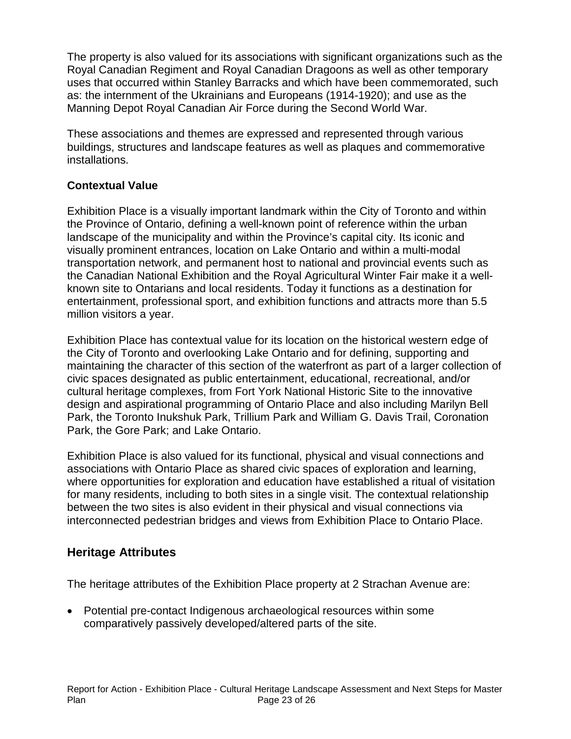The property is also valued for its associations with significant organizations such as the Royal Canadian Regiment and Royal Canadian Dragoons as well as other temporary uses that occurred within Stanley Barracks and which have been commemorated, such as: the internment of the Ukrainians and Europeans (1914-1920); and use as the Manning Depot Royal Canadian Air Force during the Second World War.

These associations and themes are expressed and represented through various buildings, structures and landscape features as well as plaques and commemorative installations.

#### **Contextual Value**

 landscape of the municipality and within the Province's capital city. Its iconic and known site to Ontarians and local residents. Today it functions as a destination for Exhibition Place is a visually important landmark within the City of Toronto and within the Province of Ontario, defining a well-known point of reference within the urban visually prominent entrances, location on Lake Ontario and within a multi-modal transportation network, and permanent host to national and provincial events such as the Canadian National Exhibition and the Royal Agricultural Winter Fair make it a wellentertainment, professional sport, and exhibition functions and attracts more than 5.5 million visitors a year.

 maintaining the character of this section of the waterfront as part of a larger collection of Exhibition Place has contextual value for its location on the historical western edge of the City of Toronto and overlooking Lake Ontario and for defining, supporting and civic spaces designated as public entertainment, educational, recreational, and/or cultural heritage complexes, from Fort York National Historic Site to the innovative design and aspirational programming of Ontario Place and also including Marilyn Bell Park, the Toronto Inukshuk Park, Trillium Park and William G. Davis Trail, Coronation Park, the Gore Park; and Lake Ontario.

 associations with Ontario Place as shared civic spaces of exploration and learning, Exhibition Place is also valued for its functional, physical and visual connections and where opportunities for exploration and education have established a ritual of visitation for many residents, including to both sites in a single visit. The contextual relationship between the two sites is also evident in their physical and visual connections via interconnected pedestrian bridges and views from Exhibition Place to Ontario Place.

#### **Heritage Attributes**

The heritage attributes of the Exhibition Place property at 2 Strachan Avenue are:

• Potential pre-contact Indigenous archaeological resources within some comparatively passively developed/altered parts of the site.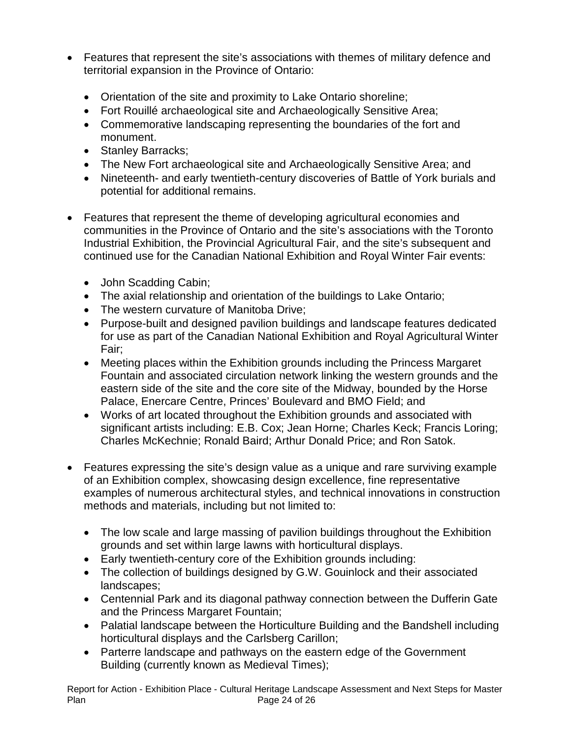- Features that represent the site's associations with themes of military defence and territorial expansion in the Province of Ontario:
	- Orientation of the site and proximity to Lake Ontario shoreline;
	- Fort Rouillé archaeological site and Archaeologically Sensitive Area;
	- Commemorative landscaping representing the boundaries of the fort and monument.
	- Stanley Barracks:
	- The New Fort archaeological site and Archaeologically Sensitive Area; and
	- Nineteenth- and early twentieth-century discoveries of Battle of York burials and potential for additional remains.
- Features that represent the theme of developing agricultural economies and communities in the Province of Ontario and the site's associations with the Toronto Industrial Exhibition, the Provincial Agricultural Fair, and the site's subsequent and continued use for the Canadian National Exhibition and Royal Winter Fair events:
	- John Scadding Cabin;
	- The axial relationship and orientation of the buildings to Lake Ontario;
	- The western curvature of Manitoba Drive;
	- for use as part of the Canadian National Exhibition and Royal Agricultural Winter • Purpose-built and designed pavilion buildings and landscape features dedicated Fair;
	- Meeting places within the Exhibition grounds including the Princess Margaret Fountain and associated circulation network linking the western grounds and the eastern side of the site and the core site of the Midway, bounded by the Horse Palace, Enercare Centre, Princes' Boulevard and BMO Field; and
	- Works of art located throughout the Exhibition grounds and associated with significant artists including: E.B. Cox; Jean Horne; Charles Keck; Francis Loring; Charles McKechnie; Ronald Baird; Arthur Donald Price; and Ron Satok.
- Features expressing the site's design value as a unique and rare surviving example of an Exhibition complex, showcasing design excellence, fine representative examples of numerous architectural styles, and technical innovations in construction methods and materials, including but not limited to:
	- The low scale and large massing of pavilion buildings throughout the Exhibition grounds and set within large lawns with horticultural displays.
	- Early twentieth-century core of the Exhibition grounds including:
	- The collection of buildings designed by G.W. Gouinlock and their associated landscapes;
	- Centennial Park and its diagonal pathway connection between the Dufferin Gate and the Princess Margaret Fountain;
	- Palatial landscape between the Horticulture Building and the Bandshell including horticultural displays and the Carlsberg Carillon;
	- Parterre landscape and pathways on the eastern edge of the Government Building (currently known as Medieval Times);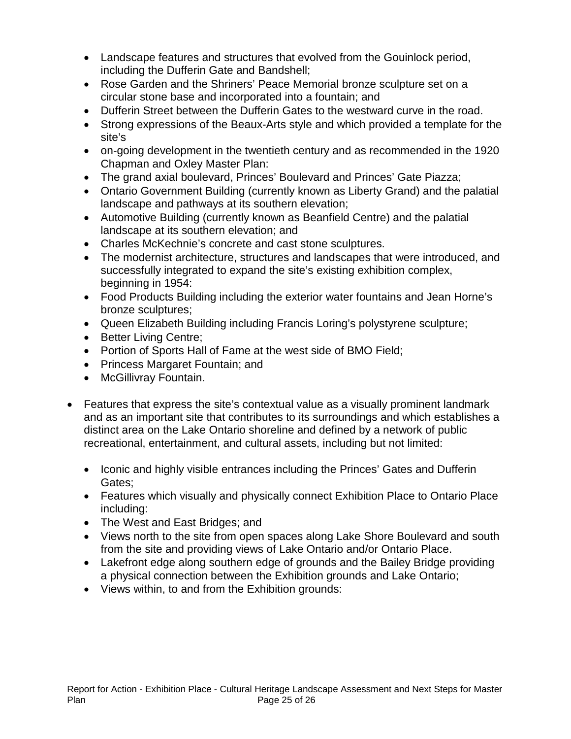- Landscape features and structures that evolved from the Gouinlock period, including the Dufferin Gate and Bandshell;
- Rose Garden and the Shriners' Peace Memorial bronze sculpture set on a circular stone base and incorporated into a fountain; and
- Dufferin Street between the Dufferin Gates to the westward curve in the road.
- Strong expressions of the Beaux-Arts style and which provided a template for the site's
- on-going development in the twentieth century and as recommended in the 1920 Chapman and Oxley Master Plan:
- The grand axial boulevard, Princes' Boulevard and Princes' Gate Piazza;
- Ontario Government Building (currently known as Liberty Grand) and the palatial landscape and pathways at its southern elevation;
- Automotive Building (currently known as Beanfield Centre) and the palatial landscape at its southern elevation; and
- Charles McKechnie's concrete and cast stone sculptures.
- The modernist architecture, structures and landscapes that were introduced, and successfully integrated to expand the site's existing exhibition complex, beginning in 1954:
- Food Products Building including the exterior water fountains and Jean Horne's bronze sculptures;
- Queen Elizabeth Building including Francis Loring's polystyrene sculpture;
- Better Living Centre;
- Portion of Sports Hall of Fame at the west side of BMO Field;
- Princess Margaret Fountain; and
- McGillivray Fountain.
- Features that express the site's contextual value as a visually prominent landmark and as an important site that contributes to its surroundings and which establishes a distinct area on the Lake Ontario shoreline and defined by a network of public recreational, entertainment, and cultural assets, including but not limited:
	- Iconic and highly visible entrances including the Princes' Gates and Dufferin Gates;
	- Features which visually and physically connect Exhibition Place to Ontario Place including:
	- The West and East Bridges; and
	- Views north to the site from open spaces along Lake Shore Boulevard and south from the site and providing views of Lake Ontario and/or Ontario Place.
	- Lakefront edge along southern edge of grounds and the Bailey Bridge providing a physical connection between the Exhibition grounds and Lake Ontario;
	- Views within, to and from the Exhibition grounds: